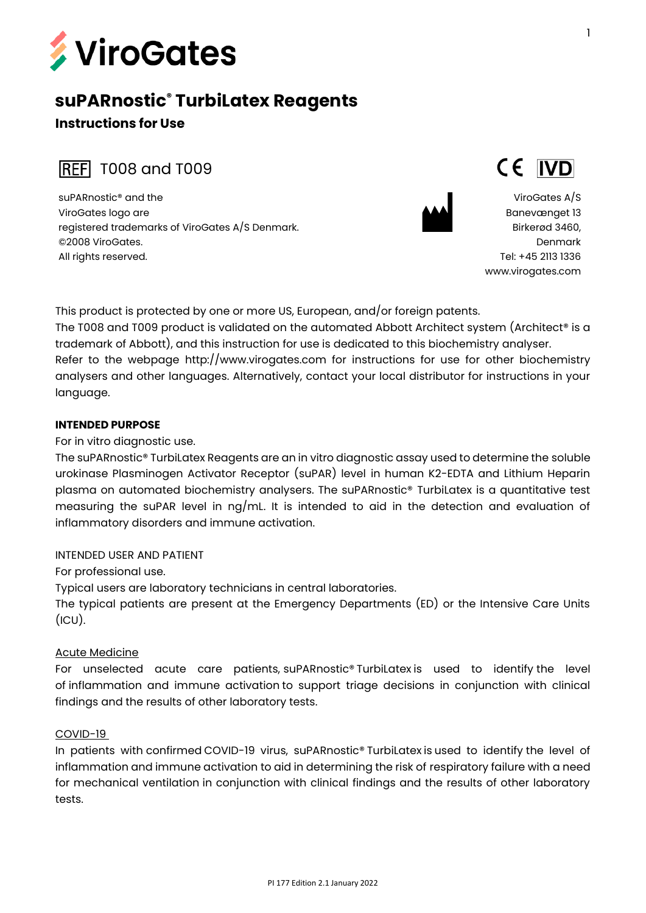

# **suPARnostic® TurbiLatex Reagents**

# **Instructions for Use**

**REF** T008 and T009

suPARnostic® and the ViroGates logo are registered trademarks of ViroGates A/S Denmark. ©2008 ViroGates. All rights reserved.



ViroGates A/S Banevænget 13 Birkerød 3460, Denmark Tel: +45 2113 1336 [www.virogates.com](http://www.virogates.com/)

CE IVD

This product is protected by one or more US, European, and/or foreign patents. The T008 and T009 product is validated on the automated Abbott Architect system (Architect® is a trademark of Abbott), and this instruction for use is dedicated to this biochemistry analyser. Refer to the webpage http://www.virogates.com for instructions for use for other biochemistry analysers and other languages. Alternatively, contact your local distributor for instructions in your language.

### **INTENDED PURPOSE**

For in vitro diagnostic use.

The suPARnostic® TurbiLatex Reagents are an in vitro diagnostic assay used to determine the soluble urokinase Plasminogen Activator Receptor (suPAR) level in human K2-EDTA and Lithium Heparin plasma on automated biochemistry analysers. The suPARnostic® TurbiLatex is a quantitative test measuring the suPAR level in ng/mL. It is intended to aid in the detection and evaluation of inflammatory disorders and immune activation.

### INTENDED USER AND PATIENT

For professional use.

Typical users are laboratory technicians in central laboratories.

The typical patients are present at the Emergency Departments (ED) or the Intensive Care Units  $(ICU).$ 

### Acute Medicine

For unselected acute care patients, suPARnostic® TurbiLatex is used to identify the level of inflammation and immune activation to support triage decisions in conjunction with clinical findings and the results of other laboratory tests.

### COVID-19

In patients with confirmed COVID-19 virus, suPARnostic® TurbiLatex is used to identify the level of inflammation and immune activation to aid in determining the risk of respiratory failure with a need for mechanical ventilation in conjunction with clinical findings and the results of other laboratory tests.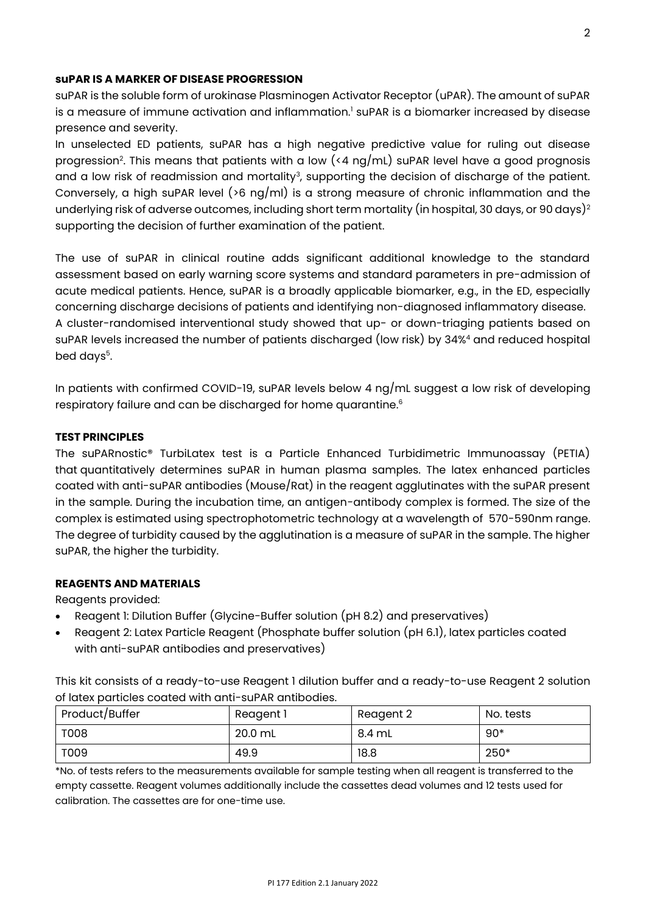### **suPAR IS A MARKER OF DISEASE PROGRESSION**

suPAR is the soluble form of urokinase Plasminogen Activator Receptor (uPAR). The amount of suPAR is a measure of immune activation and inflammation.<sup>1</sup> suPAR is a biomarker increased by disease presence and severity.

In unselected ED patients, suPAR has a high negative predictive value for ruling out disease progression<sup>2</sup>. This means that patients with a low (<4 ng/mL) suPAR level have a good prognosis and a low risk of readmission and mortality<sup>3</sup>, supporting the decision of discharge of the patient. Conversely, a high suPAR level (>6 ng/ml) is a strong measure of chronic inflammation and the underlying risk of adverse outcomes, including short term mortality (in hospital, 30 days, or 90 days)<sup>2</sup> supporting the decision of further examination of the patient.

The use of suPAR in clinical routine adds significant additional knowledge to the standard assessment based on early warning score systems and standard parameters in pre-admission of acute medical patients. Hence, suPAR is a broadly applicable biomarker, e.g., in the ED, especially concerning discharge decisions of patients and identifying non-diagnosed inflammatory disease. A cluster-randomised interventional study showed that up- or down-triaging patients based on suPAR levels increased the number of patients discharged (low risk) by 34%<sup>4</sup> and reduced hospital bed days<sup>5</sup>.

In patients with confirmed COVID-19, suPAR levels below 4 ng/mL suggest a low risk of developing respiratory failure and can be discharged for home quarantine. 6

### **TEST PRINCIPLES**

The suPARnostic® TurbiLatex test is a Particle Enhanced Turbidimetric Immunoassay (PETIA) that quantitatively determines suPAR in human plasma samples. The latex enhanced particles coated with anti-suPAR antibodies (Mouse/Rat) in the reagent agglutinates with the suPAR present in the sample. During the incubation time, an antigen-antibody complex is formed. The size of the complex is estimated using spectrophotometric technology at a wavelength of 570-590nm range. The degree of turbidity caused by the agglutination is a measure of suPAR in the sample. The higher suPAR, the higher the turbidity.

### **REAGENTS AND MATERIALS**

Reagents provided:

- Reagent 1: Dilution Buffer (Glycine-Buffer solution (pH 8.2) and preservatives)
- Reagent 2: Latex Particle Reagent (Phosphate buffer solution (pH 6.1), latex particles coated with anti-suPAR antibodies and preservatives)

This kit consists of a ready-to-use Reagent 1 dilution buffer and a ready-to-use Reagent 2 solution of latex particles coated with anti-suPAR antibodies.

| Product/Buffer | Reagent 1 | Reagent 2 | No. tests |
|----------------|-----------|-----------|-----------|
| <b>T008</b>    | 20.0 mL   | 8.4 mL    | $90*$     |
| T009           | 49.9      | 18.8      | 250*      |

\*No. of tests refers to the measurements available for sample testing when all reagent is transferred to the empty cassette. Reagent volumes additionally include the cassettes dead volumes and 12 tests used for calibration. The cassettes are for one-time use.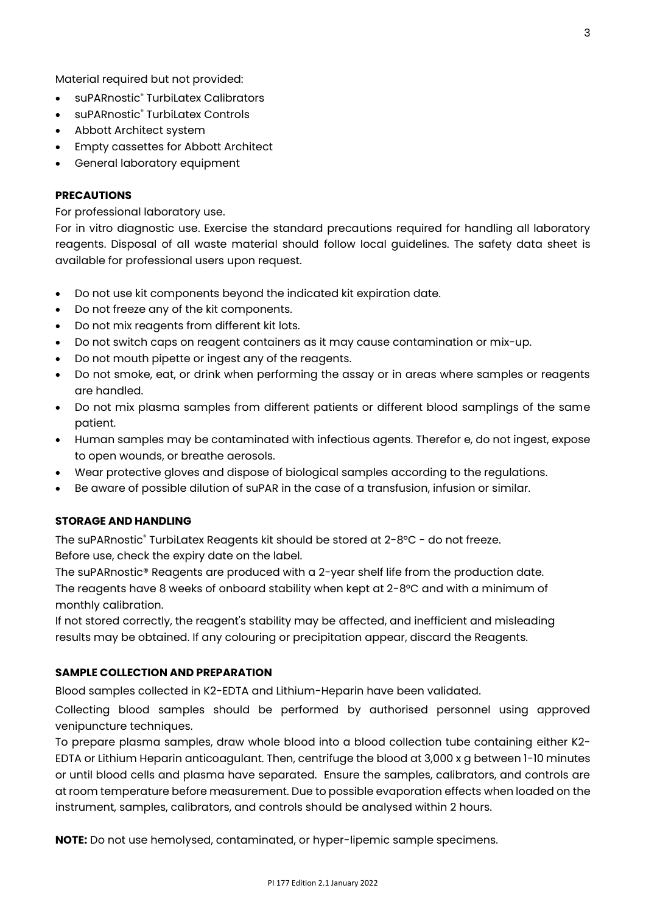Material required but not provided:

- suPARnostic<sup>®</sup> Turbil atex Calibrators
- suPARnostic® TurbiLatex Controls
- Abbott Architect system
- Empty cassettes for Abbott Architect
- General laboratory equipment

### **PRECAUTIONS**

For professional laboratory use.

For in vitro diagnostic use. Exercise the standard precautions required for handling all laboratory reagents. Disposal of all waste material should follow local guidelines. The safety data sheet is available for professional users upon request.

- Do not use kit components beyond the indicated kit expiration date.
- Do not freeze any of the kit components.
- Do not mix reagents from different kit lots.
- Do not switch caps on reagent containers as it may cause contamination or mix-up.
- Do not mouth pipette or ingest any of the reagents.
- Do not smoke, eat, or drink when performing the assay or in areas where samples or reagents are handled.
- Do not mix plasma samples from different patients or different blood samplings of the same patient.
- Human samples may be contaminated with infectious agents. Therefor e, do not ingest, expose to open wounds, or breathe aerosols.
- Wear protective gloves and dispose of biological samples according to the regulations.
- Be aware of possible dilution of suPAR in the case of a transfusion, infusion or similar.

### **STORAGE AND HANDLING**

The suPARnostic® TurbiLatex Reagents kit should be stored at 2-8°C - do not freeze. Before use, check the expiry date on the label.

The suPARnostic® Reagents are produced with a 2-year shelf life from the production date. The reagents have 8 weeks of onboard stability when kept at 2-8°C and with a minimum of monthly calibration.

If not stored correctly, the reagent's stability may be affected, and inefficient and misleading results may be obtained. If any colouring or precipitation appear, discard the Reagents.

### **SAMPLE COLLECTION AND PREPARATION**

Blood samples collected in K2-EDTA and Lithium-Heparin have been validated.

Collecting blood samples should be performed by authorised personnel using approved venipuncture techniques.

To prepare plasma samples, draw whole blood into a blood collection tube containing either K2- EDTA or Lithium Heparin anticoagulant. Then, centrifuge the blood at 3,000 x g between 1-10 minutes or until blood cells and plasma have separated. Ensure the samples, calibrators, and controls are at room temperature before measurement. Due to possible evaporation effects when loaded on the instrument, samples, calibrators, and controls should be analysed within 2 hours.

**NOTE:** Do not use hemolysed, contaminated, or hyper-lipemic sample specimens.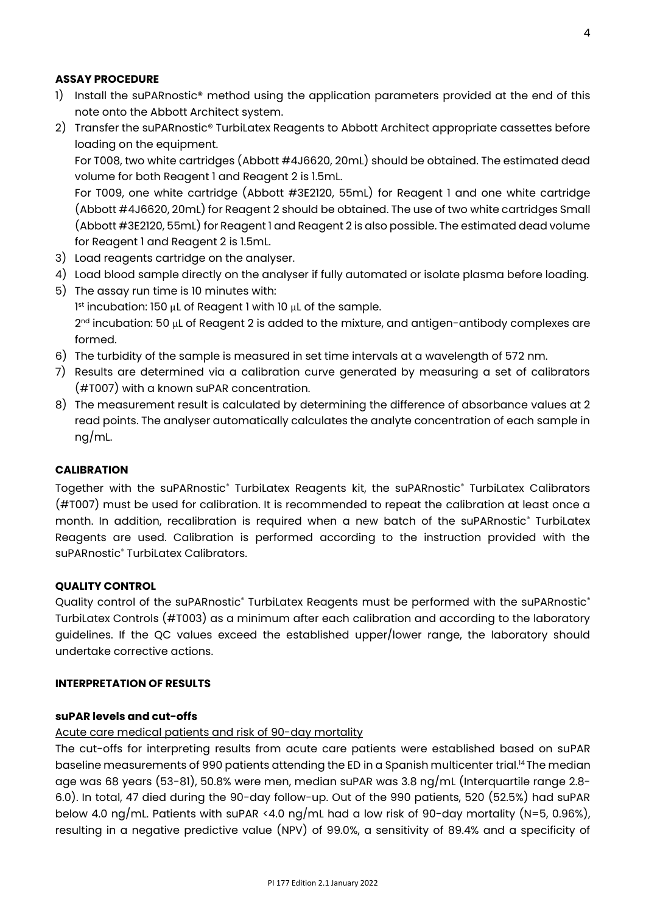### **ASSAY PROCEDURE**

- 1) Install the suPARnostic® method using the application parameters provided at the end of this note onto the Abbott Architect system.
- 2) Transfer the suPARnostic® TurbiLatex Reagents to Abbott Architect appropriate cassettes before loading on the equipment.

For T008, two white cartridges (Abbott #4J6620, 20mL) should be obtained. The estimated dead volume for both Reagent 1 and Reagent 2 is 1.5mL.

For T009, one white [cartridge \(Abbott #3E2120, 55mL\)](http://www.abbottdiagnostics.sk/Katalog-produktov/Platformy/Klinicka-biochemia/ARCHITECT-c16000-c8000-c4000/5-7-TA-1s.instrument.aspx?IView=AllProducts&Page=7&Plac=8394) for Reagent 1 and one white cartridge (Abbott #4J6620, 20mL) for Reagent 2 should be obtained. The use of two white [cartridges Small](http://www.abbottdiagnostics.sk/Katalog-produktov/Platformy/Klinicka-biochemia/ARCHITECT-c16000-c8000-c4000/5-7-TA-1s.instrument.aspx?IView=AllProducts&Page=7&Plac=8394)  [\(Abbott #3E2120, 55mL\)](http://www.abbottdiagnostics.sk/Katalog-produktov/Platformy/Klinicka-biochemia/ARCHITECT-c16000-c8000-c4000/5-7-TA-1s.instrument.aspx?IView=AllProducts&Page=7&Plac=8394) for Reagent 1 and Reagent 2 is also possible. The estimated dead volume for Reagent 1 and Reagent 2 is 1.5mL.

- 3) Load reagents cartridge on the analyser.
- 4) Load blood sample directly on the analyser if fully automated or isolate plasma before loading.
- 5) The assay run time is 10 minutes with: 1 st incubation: 150 μL of Reagent 1 with 10 μL of the sample. 2<sup>nd</sup> incubation: 50 μL of Reagent 2 is added to the mixture, and antigen-antibody complexes are formed.
- 6) The turbidity of the sample is measured in set time intervals at a wavelength of 572 nm.
- 7) Results are determined via a calibration curve generated by measuring a set of calibrators (#T007) with a known suPAR concentration.
- 8) The measurement result is calculated by determining the difference of absorbance values at 2 read points. The analyser automatically calculates the analyte concentration of each sample in ng/mL.

### **CALIBRATION**

Together with the suPARnostic® TurbiLatex Reagents kit, the suPARnostic® TurbiLatex Calibrators (#T007) must be used for calibration. It is recommended to repeat the calibration at least once a month. In addition, recalibration is required when a new batch of the suPARnostic® TurbiLatex Reagents are used. Calibration is performed according to the instruction provided with the suPARnostic<sup>®</sup> Turbil atex Calibrators.

### **QUALITY CONTROL**

Quality control of the suPARnostic® TurbiLatex Reagents must be performed with the suPARnostic® TurbiLatex Controls (#T003) as a minimum after each calibration and according to the laboratory guidelines. If the QC values exceed the established upper/lower range, the laboratory should undertake corrective actions.

# **INTERPRETATION OF RESULTS**

### **suPAR levels and cut-offs**

### Acute care medical patients and risk of 90-day mortality

The cut-offs for interpreting results from acute care patients were established based on suPAR baseline measurements of 990 patients attending the ED in a Spanish multicenter trial.<sup>14</sup> The median age was 68 years (53-81), 50.8% were men, median suPAR was 3.8 ng/mL (Interquartile range 2.8- 6.0). In total, 47 died during the 90-day follow-up. Out of the 990 patients, 520 (52.5%) had suPAR below 4.0 ng/mL. Patients with suPAR <4.0 ng/mL had a low risk of 90-day mortality (N=5, 0.96%), resulting in a negative predictive value (NPV) of 99.0%, a sensitivity of 89.4% and a specificity of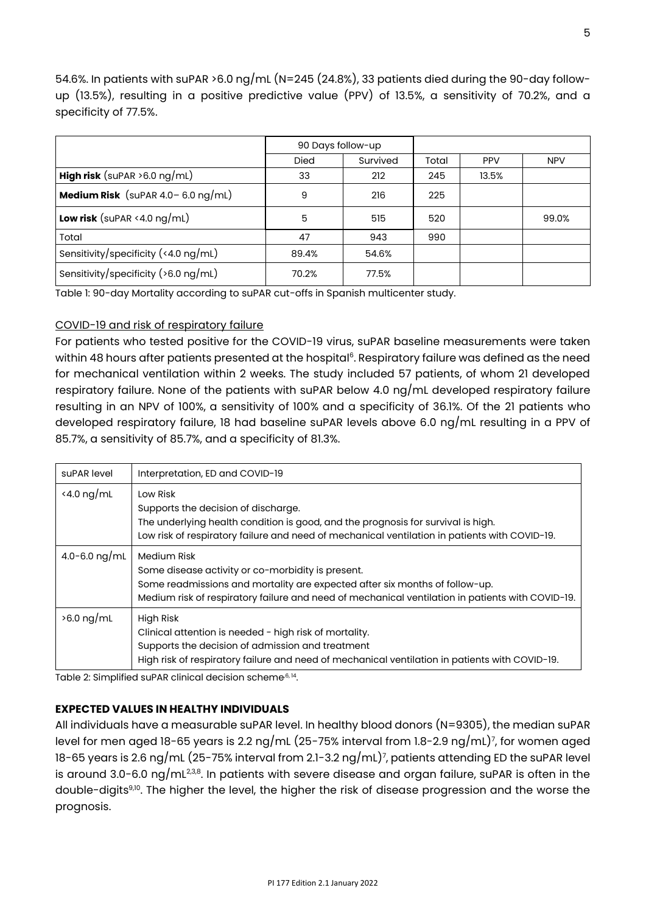54.6%. In patients with suPAR >6.0 ng/mL (N=245 (24.8%), 33 patients died during the 90-day followup (13.5%), resulting in a positive predictive value (PPV) of 13.5%, a sensitivity of 70.2%, and a specificity of 77.5%.

|                                         | 90 Days follow-up |          |       |            |            |
|-----------------------------------------|-------------------|----------|-------|------------|------------|
|                                         | Died              | Survived | Total | <b>PPV</b> | <b>NPV</b> |
| <b>High risk</b> (suPAR $>6.0$ ng/mL)   | 33                | 212      | 245   | 13.5%      |            |
| Medium Risk (suPAR $4.0 - 6.0$ ng/mL)   | 9                 | 216      | 225   |            |            |
| Low risk (suPAR $\le$ 4.0 ng/mL)        | 5                 | 515      | 520   |            | 99.0%      |
| Total                                   | 47                | 943      | 990   |            |            |
| Sensitivity/specificity (<4.0 ng/mL)    | 89.4%             | 54.6%    |       |            |            |
| Sensitivity/specificity ( $>6.0$ ng/mL) | 70.2%             | 77.5%    |       |            |            |

Table 1: 90-day Mortality according to suPAR cut-offs in Spanish multicenter study.

### COVID-19 and risk of respiratory failure

For patients who tested positive for the COVID-19 virus, suPAR baseline measurements were taken within 48 hours after patients presented at the hospital<sup>6</sup>. Respiratory failure was defined as the need for mechanical ventilation within 2 weeks. The study included 57 patients, of whom 21 developed respiratory failure. None of the patients with suPAR below 4.0 ng/mL developed respiratory failure resulting in an NPV of 100%, a sensitivity of 100% and a specificity of 36.1%. Of the 21 patients who developed respiratory failure, 18 had baseline suPAR levels above 6.0 ng/mL resulting in a PPV of 85.7%, a sensitivity of 85.7%, and a specificity of 81.3%.

| suPAR level                 | Interpretation, ED and COVID-19                                                                                                                                                                                                                     |
|-----------------------------|-----------------------------------------------------------------------------------------------------------------------------------------------------------------------------------------------------------------------------------------------------|
| $\langle 4.0 \text{ ng/mL}$ | Low Risk<br>Supports the decision of discharge.<br>The underlying health condition is good, and the prognosis for survival is high.<br>Low risk of respiratory failure and need of mechanical ventilation in patients with COVID-19.                |
| 4.0-6.0 ng/mL               | Medium Risk<br>Some disease activity or co-morbidity is present.<br>Some readmissions and mortality are expected after six months of follow-up.<br>Medium risk of respiratory failure and need of mechanical ventilation in patients with COVID-19. |
| $>6.0$ ng/mL                | High Risk<br>Clinical attention is needed - high risk of mortality.<br>Supports the decision of admission and treatment<br>High risk of respiratory failure and need of mechanical ventilation in patients with COVID-19.                           |

Table 2: Simplified suPAR clinical decision scheme<sup>,6, 14</sup>.

### **EXPECTED VALUES IN HEALTHY INDIVIDUALS**

All individuals have a measurable suPAR level. In healthy blood donors (N=9305), the median suPAR level for men aged 18-65 years is 2.2 ng/mL (25-75% interval from 1.8-2.9 ng/mL)<sup>7</sup>, for women aged 18-65 years is 2.6 ng/mL (25-75% interval from 2.1-3.2 ng/mL)<sup>7</sup> , patients attending ED the suPAR level is around 3.0-6.0 ng/mL $^{2,38}\!$ . In patients with severe disease and organ failure, suPAR is often in the double-digits<sup>9,10</sup>. The higher the level, the higher the risk of disease progression and the worse the prognosis.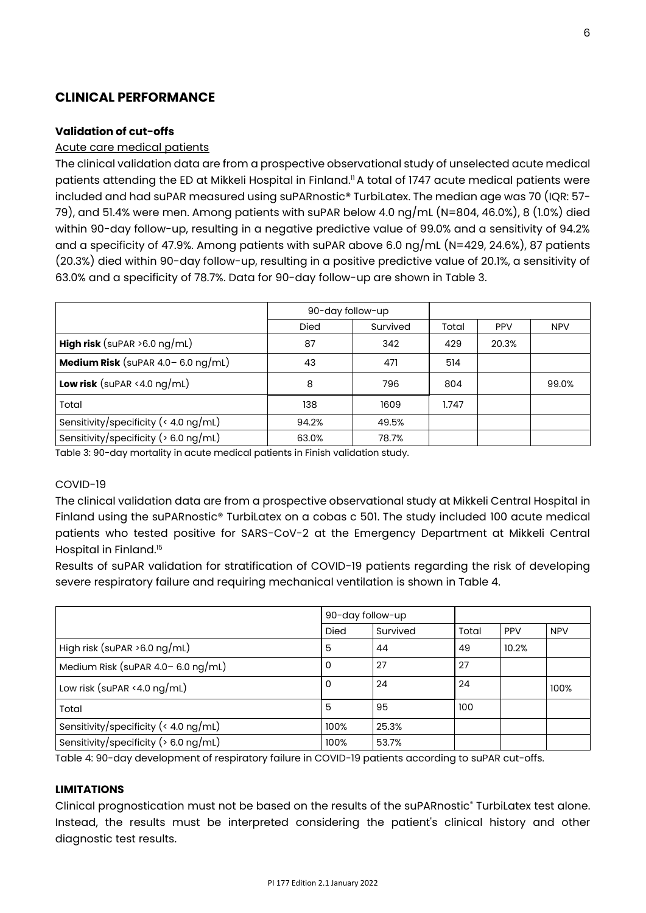# **CLINICAL PERFORMANCE**

### **Validation of cut-offs**

### Acute care medical patients

The clinical validation data are from a prospective observational study of unselected acute medical patients attending the ED at Mikkeli Hospital in Finland." A total of 1747 acute medical patients were included and had suPAR measured using suPARnostic® TurbiLatex. The median age was 70 (IQR: 57- 79), and 51.4% were men. Among patients with suPAR below 4.0 ng/mL (N=804, 46.0%), 8 (1.0%) died within 90-day follow-up, resulting in a negative predictive value of 99.0% and a sensitivity of 94.2% and a specificity of 47.9%. Among patients with suPAR above 6.0 ng/mL (N=429, 24.6%), 87 patients (20.3%) died within 90-day follow-up, resulting in a positive predictive value of 20.1%, a sensitivity of 63.0% and a specificity of 78.7%. Data for 90-day follow-up are shown in Table 3.

|                                                | 90-day follow-up |          |       |            |            |
|------------------------------------------------|------------------|----------|-------|------------|------------|
|                                                | <b>Died</b>      | Survived | Total | <b>PPV</b> | <b>NPV</b> |
| <b>High risk</b> (suPAR $>6.0$ ng/mL)          | 87               | 342      | 429   | 20.3%      |            |
| Medium Risk (suPAR $4.0 - 6.0$ ng/mL)          | 43               | 471      | 514   |            |            |
| <b>Low risk</b> (suPAR <4.0 $\log/\text{mL}$ ) | 8                | 796      | 804   |            | 99.0%      |
| Total                                          | 138              | 1609     | 1.747 |            |            |
| Sensitivity/specificity ( $\leq 4.0$ ng/mL)    | 94.2%            | 49.5%    |       |            |            |
| Sensitivity/specificity ( $> 6.0$ ng/mL)       | 63.0%            | 78.7%    |       |            |            |

Table 3: 90-day mortality in acute medical patients in Finish validation study.

### COVID-19

The clinical validation data are from a prospective observational study at Mikkeli Central Hospital in Finland using the suPARnostic® TurbiLatex on a cobas c 501. The study included 100 acute medical patients who tested positive for SARS-CoV-2 at the Emergency Department at Mikkeli Central Hospital in Finland.<sup>15</sup>

Results of suPAR validation for stratification of COVID-19 patients regarding the risk of developing severe respiratory failure and requiring mechanical ventilation is shown in Table 4.

|                                             | 90-day follow-up |          |       |            |            |
|---------------------------------------------|------------------|----------|-------|------------|------------|
|                                             | <b>Died</b>      | Survived | Total | <b>PPV</b> | <b>NPV</b> |
| High risk (suPAR $>6.0$ ng/mL)              | 5                | 44       | 49    | 10.2%      |            |
| Medium Risk (suPAR $4.0 - 6.0$ ng/mL)       | 0                | 27       | 27    |            |            |
| Low risk (suPAR <4.0 $ng/mL$ )              | 0                | 24       | 24    |            | 100%       |
| Total                                       | 5                | 95       | 100   |            |            |
| Sensitivity/specificity ( $\leq 4.0$ ng/mL) | 100%             | 25.3%    |       |            |            |
| Sensitivity/specificity ( $> 6.0$ ng/mL)    | 100%             | 53.7%    |       |            |            |

Table 4: 90-day development of respiratory failure in COVID-19 patients according to suPAR cut-offs.

### **LIMITATIONS**

Clinical prognostication must not be based on the results of the suPARnostic® TurbiLatex test alone. Instead, the results must be interpreted considering the patient's clinical history and other diagnostic test results.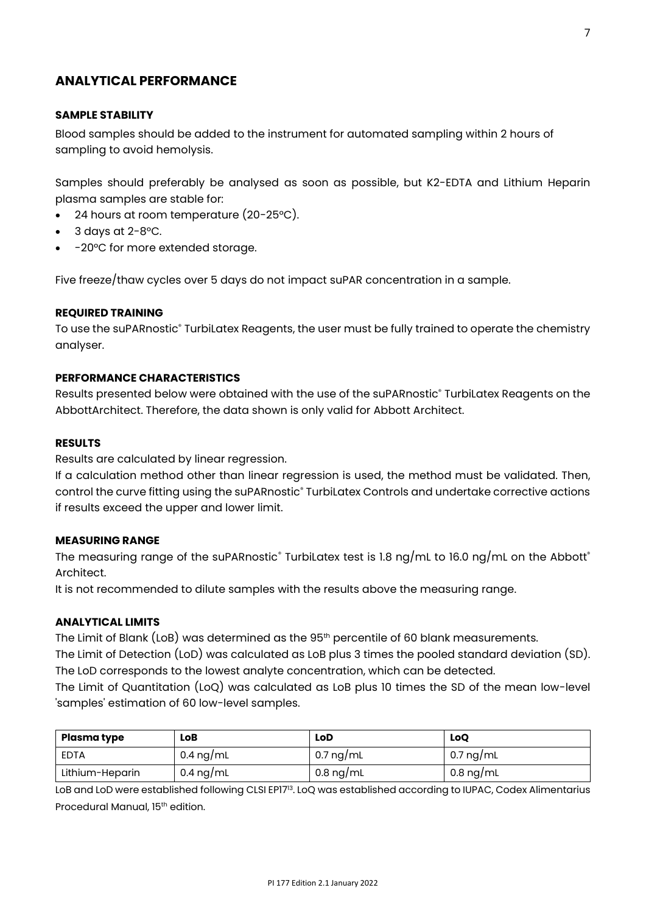# **ANALYTICAL PERFORMANCE**

### **SAMPLE STABILITY**

Blood samples should be added to the instrument for automated sampling within 2 hours of sampling to avoid hemolysis.

Samples should preferably be analysed as soon as possible, but K2-EDTA and Lithium Heparin plasma samples are stable for:

- 24 hours at room temperature (20-25°C).
- $3$  days at  $2-8$ °C.
- -20°C for more extended storage.

Five freeze/thaw cycles over 5 days do not impact suPAR concentration in a sample.

### **REQUIRED TRAINING**

To use the suPARnostic® TurbiLatex Reagents, the user must be fully trained to operate the chemistry analyser.

### **PERFORMANCE CHARACTERISTICS**

Results presented below were obtained with the use of the suPARnostic® TurbiLatex Reagents on the AbbottArchitect. Therefore, the data shown is only valid for Abbott Architect.

### **RESULTS**

Results are calculated by linear regression.

If a calculation method other than linear regression is used, the method must be validated. Then, control the curve fitting using the suPARnostic® TurbiLatex Controls and undertake corrective actions if results exceed the upper and lower limit.

### **MEASURING RANGE**

The measuring range of the suPARnostic® TurbiLatex test is 1.8 ng/mL to 16.0 ng/mL on the Abbott® Architect.

It is not recommended to dilute samples with the results above the measuring range.

### **ANALYTICAL LIMITS**

The Limit of Blank (LoB) was determined as the 95<sup>th</sup> percentile of 60 blank measurements.

The Limit of Detection (LoD) was calculated as LoB plus 3 times the pooled standard deviation (SD). The LoD corresponds to the lowest analyte concentration, which can be detected.

The Limit of Quantitation (LoQ) was calculated as LoB plus 10 times the SD of the mean low-level 'samples' estimation of 60 low-level samples.

| Plasma type     | LoB                 | LoD       | LoQ                 |
|-----------------|---------------------|-----------|---------------------|
| EDTA            | $0.4 \text{ ng/mL}$ | 0.7 ng/mL | 0.7 ng/mL           |
| Lithium-Heparin | 0.4 ng/mL           | 0.8 ng/mL | $0.8 \text{ ng/mL}$ |

LoB and LoD were established following CLSI EP17<sup>13</sup>. LoQ was established according to IUPAC, Codex Alimentarius Procedural Manual, 15<sup>th</sup> edition.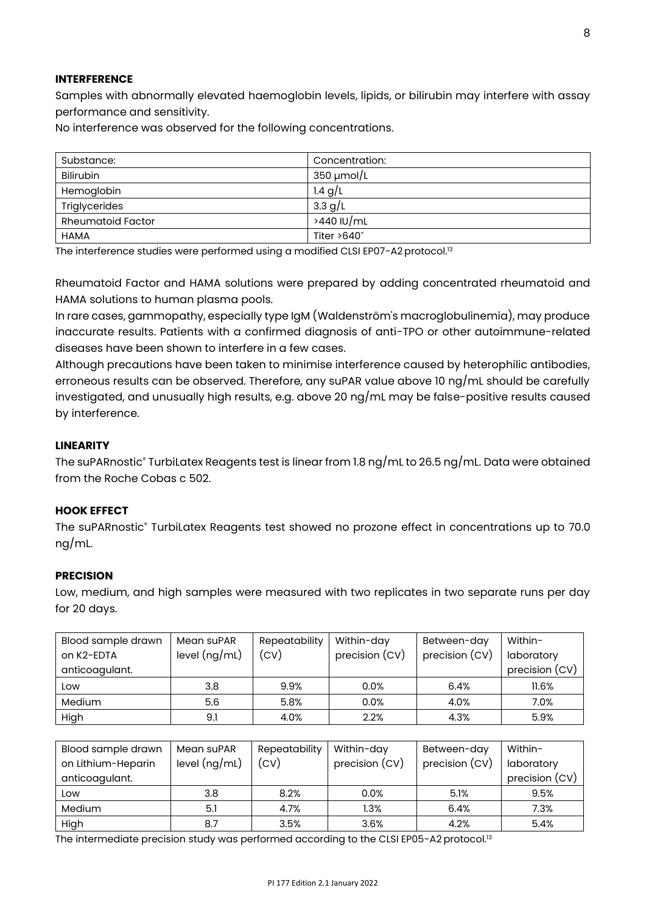### **INTERFERENCE**

Samples with abnormally elevated haemoglobin levels, lipids, or bilirubin may interfere with assay performance and sensitivity.

No interference was observed for the following concentrations.

| Substance:               | Concentration:     |
|--------------------------|--------------------|
| <b>Bilirubin</b>         | $350 \mu$ mol/L    |
| Hemoglobin               | 1.4 $g/L$          |
| Triglycerides            | 3.3 g/L            |
| <b>Rheumatoid Factor</b> | >440 IU/mL         |
| <b>HAMA</b>              | Titer $>640^\circ$ |

The interference studies were performed using a modified CLSI EP07-A2 protocol.<sup>13</sup>

Rheumatoid Factor and HAMA solutions were prepared by adding concentrated rheumatoid and HAMA solutions to human plasma pools.

In rare cases, gammopathy, especially type IgM (Waldenström's macroglobulinemia), may produce inaccurate results. Patients with a confirmed diagnosis of anti-TPO or other autoimmune-related diseases have been shown to interfere in a few cases.

Although precautions have been taken to minimise interference caused by heterophilic antibodies, erroneous results can be observed. Therefore, any suPAR value above 10 ng/mL should be carefully investigated, and unusually high results, e.g. above 20 ng/mL may be false-positive results caused by interference.

### **LINEARITY**

The suPARnostic® TurbiLatex Reagents test is linear from 1.8 ng/mL to 26.5 ng/mL. Data were obtained from the Roche Cobas c 502.

### **HOOK EFFECT**

The suPARnostic® TurbiLatex Reagents test showed no prozone effect in concentrations up to 70.0 ng/mL.

### **PRECISION**

Low, medium, and high samples were measured with two replicates in two separate runs per day for 20 days.

| Blood sample drawn | Mean suPAR      | Repeatability | Within-day     | Between-day    | Within-        |
|--------------------|-----------------|---------------|----------------|----------------|----------------|
| on K2-EDTA         | level $(ng/mL)$ | (CV)          | precision (CV) | precision (CV) | laboratory     |
| anticoagulant.     |                 |               |                |                | precision (CV) |
| Low                | 3.8             | 9.9%          | 0.0%           | 6.4%           | 11.6%          |
| Medium             | 5.6             | 5.8%          | 0.0%           | 4.0%           | 7.0%           |
| High               | 9.1             | 4.0%          | 2.2%           | 4.3%           | 5.9%           |

| Blood sample drawn | Mean suPAR      | Repeatability | Within-day     | Between-day    | Within-        |
|--------------------|-----------------|---------------|----------------|----------------|----------------|
| on Lithium-Heparin | level $(ng/mL)$ | (CV)          | precision (CV) | precision (CV) | laboratory     |
| anticoagulant.     |                 |               |                |                | precision (CV) |
| Low                | 3.8             | 8.2%          | 0.0%           | 5.1%           | 9.5%           |
| Medium             | 5.1             | 4.7%          | $1.3\%$        | 6.4%           | 7.3%           |
| High               | 8.7             | 3.5%          | 3.6%           | 4.2%           | 5.4%           |

The intermediate precision study was performed according to the CLSI EP05-A2 protocol.<sup>13</sup>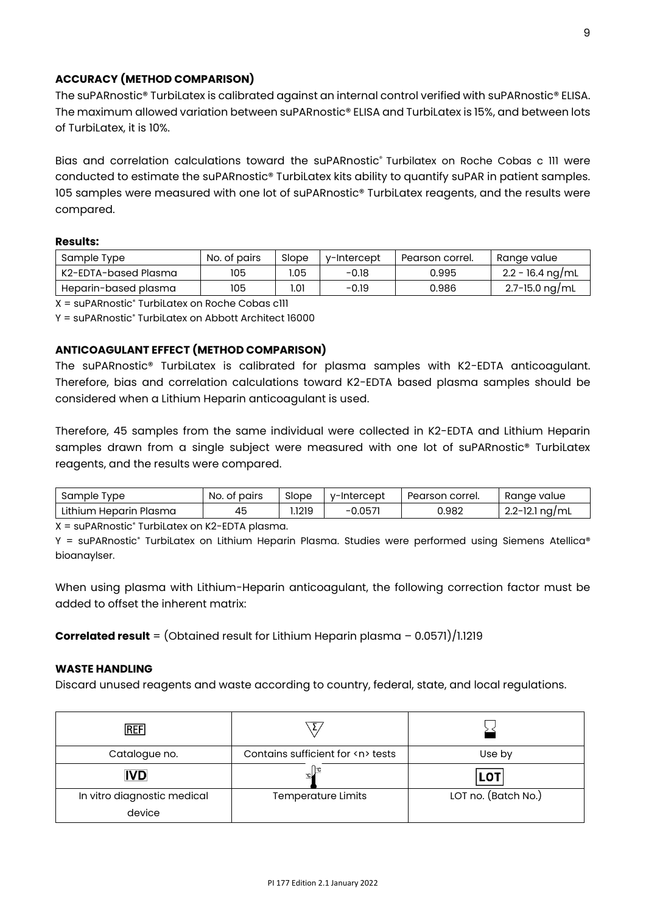# **ACCURACY (METHOD COMPARISON)**

The suPARnostic® TurbiLatex is calibrated against an internal control verified with suPARnostic® ELISA. The maximum allowed variation between suPARnostic® ELISA and TurbiLatex is 15%, and between lots of Turbil atex, it is 10%.

Bias and correlation calculations toward the suPARnostic® Turbilatex on Roche Cobas c III were conducted to estimate the suPARnostic® TurbiLatex kits ability to quantify suPAR in patient samples. 105 samples were measured with one lot of suPARnostic® TurbiLatex reagents, and the results were compared.

### **Results:**

| Sample Type          | No. of pairs | Slope | v-Intercept | Pearson correl. | Range value        |
|----------------------|--------------|-------|-------------|-----------------|--------------------|
| K2-EDTA-based Plasma | 105          | .05   | $-0.18$     | 0.995           | $2.2 - 16.4$ ng/mL |
| Heparin-based plasma | 105          | I.O1  | $-0.19$     | 0.986           | $2.7 - 15.0$ ng/mL |

X = suPARnostic® TurbiLatex on Roche Cobas c111

Y = suPARnostic® TurbiLatex on Abbott Architect 16000

# **ANTICOAGULANT EFFECT (METHOD COMPARISON)**

The suPARnostic® TurbiLatex is calibrated for plasma samples with K2-EDTA anticoagulant. Therefore, bias and correlation calculations toward K2-EDTA based plasma samples should be considered when a Lithium Heparin anticoagulant is used.

Therefore, 45 samples from the same individual were collected in K2-EDTA and Lithium Heparin samples drawn from a single subject were measured with one lot of suPARnostic® TurbiLatex reagents, and the results were compared.

| Sample<br><b>Tvpe</b>       | No.<br>pairs<br>. of | Slope | v-Intercept | Pearson correl. | Range value           |
|-----------------------------|----------------------|-------|-------------|-----------------|-----------------------|
| Lithium<br>ı Heparin Plasma | 45                   | .1219 | $-0.057$    | 0.982           | $2.2 - 12.1$<br>na/mL |

X = suPARnostic® TurbiLatex on K2-EDTA plasma.

 $Y = \text{supARNostic}^*$  TurbiLatex on Lithium Heparin Plasma. Studies were performed using Siemens Atellica® bioanaylser.

When using plasma with Lithium-Heparin anticoagulant, the following correction factor must be added to offset the inherent matrix:

**Correlated result** = (Obtained result for Lithium Heparin plasma – 0.0571)/1.1219

### **WASTE HANDLING**

Discard unused reagents and waste according to country, federal, state, and local regulations.

| <b>REF</b>                            |                                       |                     |
|---------------------------------------|---------------------------------------|---------------------|
| Catalogue no.                         | Contains sufficient for <n> tests</n> | Use by              |
| <b>IVD</b>                            |                                       | <b>LOT</b>          |
| In vitro diagnostic medical<br>device | <b>Temperature Limits</b>             | LOT no. (Batch No.) |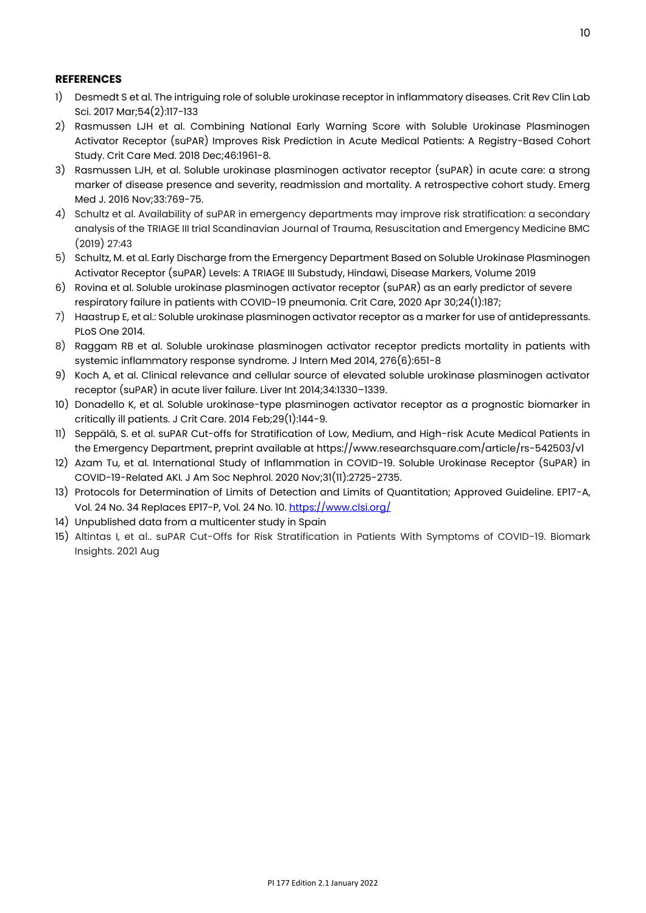### **REFERENCES**

- 1) Desmedt S et al. The intriguing role of soluble urokinase receptor in inflammatory diseases. Crit Rev Clin Lab Sci. 2017 Mar;54(2):117-133
- 2) Rasmussen LJH et al. Combining National Early Warning Score with Soluble Urokinase Plasminogen Activator Receptor (suPAR) Improves Risk Prediction in Acute Medical Patients: A Registry-Based Cohort Study. Crit Care Med. 2018 Dec;46:1961-8.
- 3) Rasmussen LJH, et al. Soluble urokinase plasminogen activator receptor (suPAR) in acute care: a strong marker of disease presence and severity, readmission and mortality. A retrospective cohort study. Emerg Med J. 2016 Nov;33:769-75.
- 4) Schultz et al. Availability of suPAR in emergency departments may improve risk stratification: a secondary analysis of the TRIAGE III trial Scandinavian Journal of Trauma, Resuscitation and Emergency Medicine BMC (2019) 27:43
- 5) Schultz, M. et al. Early Discharge from the Emergency Department Based on Soluble Urokinase Plasminogen Activator Receptor (suPAR) Levels: A TRIAGE III Substudy, Hindawi, Disease Markers, Volume 2019
- 6) Rovina et al. Soluble urokinase plasminogen activator receptor (suPAR) as an early predictor of severe respiratory failure in patients with COVID-19 pneumonia. Crit Care, 2020 Apr 30;24(1):187;
- 7) Haastrup E, et al.: Soluble urokinase plasminogen activator receptor as a marker for use of antidepressants. PLoS One 2014.
- 8) Raggam RB et al. Soluble urokinase plasminogen activator receptor predicts mortality in patients with systemic inflammatory response syndrome. J Intern Med 2014, 276(6):651-8
- 9) Koch A, et al. Clinical relevance and cellular source of elevated soluble urokinase plasminogen activator receptor (suPAR) in acute liver failure. Liver Int 2014;34:1330–1339.
- 10) Donadello K, et al. Soluble urokinase-type plasminogen activator receptor as a prognostic biomarker in critically ill patients. J Crit Care. 2014 Feb;29(1):144-9.
- 11) Seppälä, S. et al. suPAR Cut-offs for Stratification of Low, Medium, and High-risk Acute Medical Patients in the Emergency Department, preprint available at https://www.researchsquare.com/article/rs-542503/v1
- 12) Azam Tu, et al. International Study of Inflammation in COVID-19. Soluble Urokinase Receptor (SuPAR) in COVID-19-Related AKI. J Am Soc Nephrol. 2020 Nov;31(11):2725-2735.
- 13) Protocols for Determination of Limits of Detection and Limits of Quantitation; Approved Guideline. EP17-A, Vol. 24 No. 34 Replaces EP17-P, Vol. 24 No. 10[. https://www.clsi.org/](https://www.clsi.org/)
- 14) Unpublished data from a multicenter study in Spain
- 15) Altintas I, et al.. suPAR Cut-Offs for Risk Stratification in Patients With Symptoms of COVID-19. Biomark Insights. 2021 Aug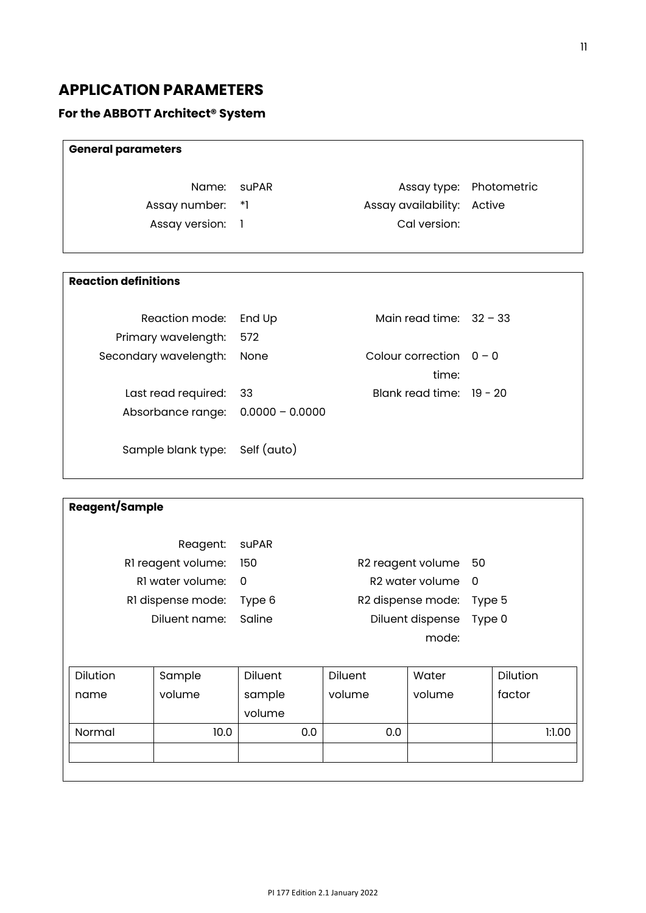# **APPLICATION PARAMETERS**

# **For the ABBOTT Architect® System**

| <b>General parameters</b> |                            |                         |
|---------------------------|----------------------------|-------------------------|
| Name: suPAR               |                            | Assay type: Photometric |
| Assay number: *1          | Assay availability: Active |                         |
| Assay version: 1          | Cal version:               |                         |
|                           |                            |                         |

# **Reaction definitions**

| Reaction mode: End Up<br>Primary wavelength:               | 572  | Main read time: $32 - 33$          |  |
|------------------------------------------------------------|------|------------------------------------|--|
| Secondary wavelength:                                      | None | Colour correction $0 - 0$<br>time: |  |
| Last read required:<br>Absorbance range: $0.0000 - 0.0000$ | - 33 | Blank read time: $19 - 20$         |  |
| Sample blank type: Self (auto)                             |      |                                    |  |

| <b>Reagent/Sample</b> |                    |                            |     |         |                             |          |          |        |
|-----------------------|--------------------|----------------------------|-----|---------|-----------------------------|----------|----------|--------|
|                       | Reagent:           | suPAR                      |     |         |                             |          |          |        |
|                       | RI reagent volume: | 150                        |     |         | R2 reagent volume           | 50       |          |        |
|                       | RI water volume:   | 0                          |     |         | R <sub>2</sub> water volume | $\Omega$ |          |        |
|                       | RI dispense mode:  | Type 6                     |     |         | R2 dispense mode:           | Type 5   |          |        |
|                       | Diluent name:      | Saline<br>Diluent dispense |     |         | Type 0                      |          |          |        |
|                       |                    |                            |     |         | mode:                       |          |          |        |
|                       |                    |                            |     |         |                             |          |          |        |
| Dilution              | Sample             | <b>Diluent</b>             |     | Diluent | Water                       |          | Dilution |        |
| name                  | volume             | sample                     |     | volume  | volume                      |          | factor   |        |
|                       |                    | volume                     |     |         |                             |          |          |        |
| Normal                | 10.0               |                            | 0.0 | 0.0     |                             |          |          | 1:1.00 |
|                       |                    |                            |     |         |                             |          |          |        |
|                       |                    |                            |     |         |                             |          |          |        |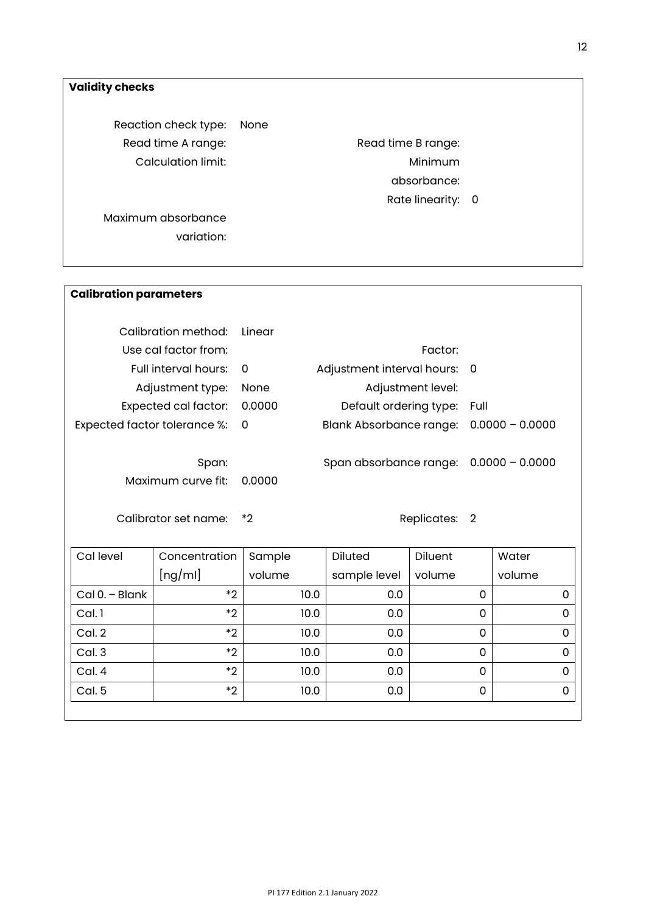# **Validity checks**

Reaction check type: None Read time A range: Read time B range: Calculation limit: Calculation limit:

absorbance:

Rate linearity: 0

Maximum absorbance variation:

| <b>Calibration parameters</b>  |        |                              |                   |
|--------------------------------|--------|------------------------------|-------------------|
| Calibration method:            | Linear |                              |                   |
| Use cal factor from:           |        | Factor:                      |                   |
| Full interval hours:           | 0      | Adjustment interval hours: 0 |                   |
| Adjustment type:               | None   | Adjustment level:            |                   |
| Expected cal factor:           | 0.0000 | Default ordering type:       | Full              |
| Expected factor tolerance %: 0 |        | Blank Absorbance range:      | $0.0000 - 0.0000$ |
| Span:<br>Maximum curve fit:    | 0.0000 | Span absorbance range:       | $0.0000 - 0.0000$ |
| Calibrator set name:           | *2     | Replicates:                  | 2                 |

| Cal level        | Concentration | Sample | <b>Diluted</b> | <b>Diluent</b> | Water    |
|------------------|---------------|--------|----------------|----------------|----------|
|                  | [ng/ml]       | volume | sample level   | volume         | volume   |
| $Cal 0. - Blank$ | $*2$          | 10.0   | 0.0            | 0              | 0        |
| Cal. 1           | $*2$          | 10.0   | 0.0            | 0              | 0        |
| Cal. 2           | $*2$          | 10.0   | 0.0            | 0              | 0        |
| Cal. 3           | $*2$          | 10.0   | 0.0            | 0              | $\Omega$ |
| Cal. 4           | $*2$          | 10.0   | 0.0            | 0              | $\Omega$ |
| Cal. 5           | $*2$          | 10.0   | 0.0            | 0              | $\Omega$ |
|                  |               |        |                |                |          |